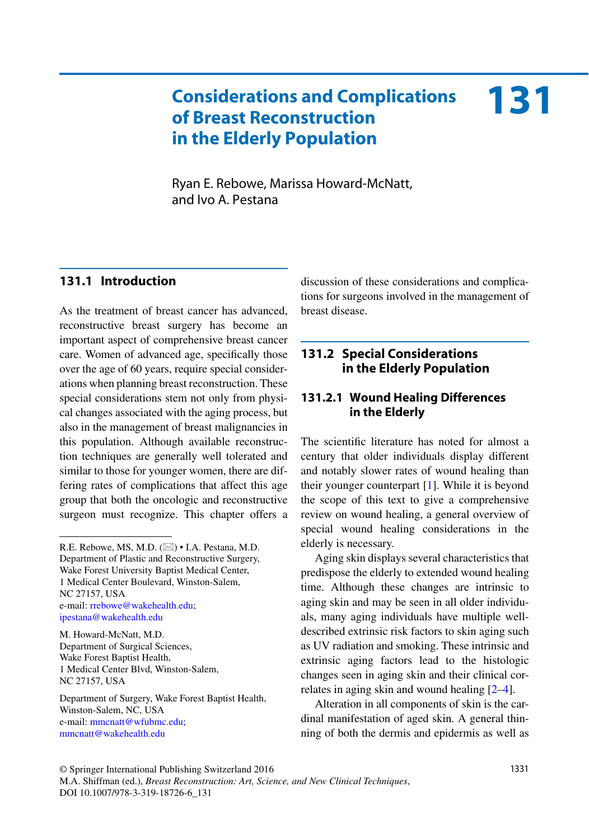# **Considerations and Complications of Breast Reconstruction in the Elderly Population**

 **131**

Ryan E. Rebowe, Marissa Howard-McNatt, and Ivo A. Pestana

# **131.1 Introduction**

 As the treatment of breast cancer has advanced, reconstructive breast surgery has become an important aspect of comprehensive breast cancer care. Women of advanced age, specifically those over the age of 60 years, require special considerations when planning breast reconstruction. These special considerations stem not only from physical changes associated with the aging process, but also in the management of breast malignancies in this population. Although available reconstruction techniques are generally well tolerated and similar to those for younger women, there are differing rates of complications that affect this age group that both the oncologic and reconstructive surgeon must recognize. This chapter offers a

M. Howard-McNatt, M.D. Department of Surgical Sciences, Wake Forest Baptist Health, 1 Medical Center Blvd, Winston-Salem, NC 27157 , USA

Department of Surgery, Wake Forest Baptist Health, Winston-Salem, NC, USA e-mail: [mmcnatt@wfubmc.edu](mailto:mmcnatt@wfubmc.edu); [mmcnatt@wakehealth.edu](mailto:mmcnatt@wakehealth.edu)

 discussion of these considerations and complications for surgeons involved in the management of breast disease.

# **131.2 Special Considerations in the Elderly Population**

## **131.2.1 Wound Healing Differences in the Elderly**

The scientific literature has noted for almost a century that older individuals display different and notably slower rates of wound healing than their younger counterpart  $[1]$ . While it is beyond the scope of this text to give a comprehensive review on wound healing, a general overview of special wound healing considerations in the elderly is necessary.

 Aging skin displays several characteristics that predispose the elderly to extended wound healing time. Although these changes are intrinsic to aging skin and may be seen in all older individuals, many aging individuals have multiple welldescribed extrinsic risk factors to skin aging such as UV radiation and smoking. These intrinsic and extrinsic aging factors lead to the histologic changes seen in aging skin and their clinical correlates in aging skin and wound healing  $[2-4]$ .

 Alteration in all components of skin is the cardinal manifestation of aged skin. A general thinning of both the dermis and epidermis as well as

© Springer International Publishing Switzerland 2016 1331

R.E. Rebowe, MS, M.D. ( $\boxtimes$ ) • I.A. Pestana, M.D. Department of Plastic and Reconstructive Surgery, Wake Forest University Baptist Medical Center, 1 Medical Center Boulevard, Winston-Salem, NC 27157 , USA e-mail: [rrebowe@wakehealth.edu;](mailto:rrebowe@wakehealth.edu) [ipestana@wakehealth.edu](mailto:ipestana@wakehealth.edu)

M.A. Shiffman (ed.), *Breast Reconstruction: Art, Science, and New Clinical Techniques*, DOI 10.1007/978-3-319-18726-6\_131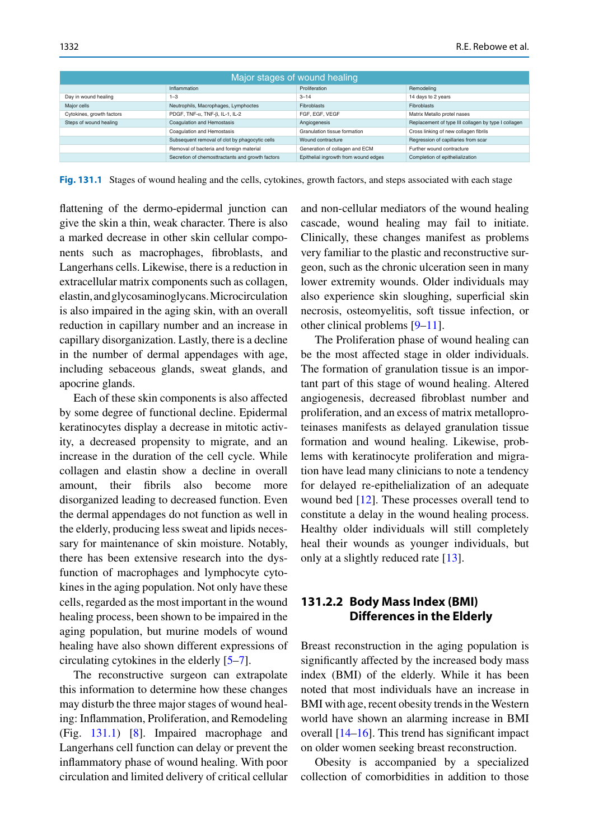| Major stages of wound healing |                                                  |                                      |                                                     |  |
|-------------------------------|--------------------------------------------------|--------------------------------------|-----------------------------------------------------|--|
|                               | Inflammation                                     | Proliferation                        | Remodeling                                          |  |
| Day in wound healing          | $1 - 3$                                          | $3 - 14$                             | 14 days to 2 years                                  |  |
| Major cells                   | Neutrophils, Macrophages, Lymphoctes             | <b>Fibroblasts</b>                   | Fibroblasts                                         |  |
| Cytokines, growth factors     | PDGF, TNF- $\alpha$ , TNF- $\beta$ , IL-1, IL-2  | FGF, EGF, VEGF                       | Matrix Metallo protel nases                         |  |
| Steps of wound healing        | Coagulation and Hemostasis                       | Angiogenesis                         | Replacement of type III collagen by type I collagen |  |
|                               | Coagulation and Hemostasis                       | Granulation tissue formation         | Cross linking of new collagen fibrils               |  |
|                               | Subsequent removal of clot by phagocytic cells   | Wound contracture                    | Regression of capillaries from scar                 |  |
|                               | Removal of bacteria and foreign material         | Generation of collagen and ECM       | Further wound contracture                           |  |
|                               | Secretion of chemosttractants and growth factors | Epithelial ingrowth from wound edges | Completion of epithelialization                     |  |

 **Fig. 131.1** Stages of wound healing and the cells, cytokines, growth factors, and steps associated with each stage

flattening of the dermo-epidermal junction can give the skin a thin, weak character. There is also a marked decrease in other skin cellular components such as macrophages, fibroblasts, and Langerhans cells. Likewise, there is a reduction in extracellular matrix components such as collagen, elastin, and glycosaminoglycans. Microcirculation is also impaired in the aging skin, with an overall reduction in capillary number and an increase in capillary disorganization. Lastly, there is a decline in the number of dermal appendages with age, including sebaceous glands, sweat glands, and apocrine glands.

 Each of these skin components is also affected by some degree of functional decline. Epidermal keratinocytes display a decrease in mitotic activity, a decreased propensity to migrate, and an increase in the duration of the cell cycle. While collagen and elastin show a decline in overall amount, their fibrils also become more disorganized leading to decreased function. Even the dermal appendages do not function as well in the elderly, producing less sweat and lipids necessary for maintenance of skin moisture. Notably, there has been extensive research into the dysfunction of macrophages and lymphocyte cytokines in the aging population. Not only have these cells, regarded as the most important in the wound healing process, been shown to be impaired in the aging population, but murine models of wound healing have also shown different expressions of circulating cytokines in the elderly  $[5-7]$ .

 The reconstructive surgeon can extrapolate this information to determine how these changes may disturb the three major stages of wound healing: Inflammation, Proliferation, and Remodeling (Fig. 131.1) [8]. Impaired macrophage and Langerhans cell function can delay or prevent the inflammatory phase of wound healing. With poor circulation and limited delivery of critical cellular

and non-cellular mediators of the wound healing cascade, wound healing may fail to initiate. Clinically, these changes manifest as problems very familiar to the plastic and reconstructive surgeon, such as the chronic ulceration seen in many lower extremity wounds. Older individuals may also experience skin sloughing, superficial skin necrosis, osteomyelitis, soft tissue infection, or other clinical problems  $[9-11]$ .

 The Proliferation phase of wound healing can be the most affected stage in older individuals. The formation of granulation tissue is an important part of this stage of wound healing. Altered angiogenesis, decreased fibroblast number and proliferation, and an excess of matrix metalloproteinases manifests as delayed granulation tissue formation and wound healing. Likewise, problems with keratinocyte proliferation and migration have lead many clinicians to note a tendency for delayed re-epithelialization of an adequate wound bed  $[12]$ . These processes overall tend to constitute a delay in the wound healing process. Healthy older individuals will still completely heal their wounds as younger individuals, but only at a slightly reduced rate [13].

### **131.2.2 Body Mass Index (BMI) Differences in the Elderly**

 Breast reconstruction in the aging population is significantly affected by the increased body mass index (BMI) of the elderly. While it has been noted that most individuals have an increase in BMI with age, recent obesity trends in the Western world have shown an alarming increase in BMI overall  $[14-16]$ . This trend has significant impact on older women seeking breast reconstruction.

 Obesity is accompanied by a specialized collection of comorbidities in addition to those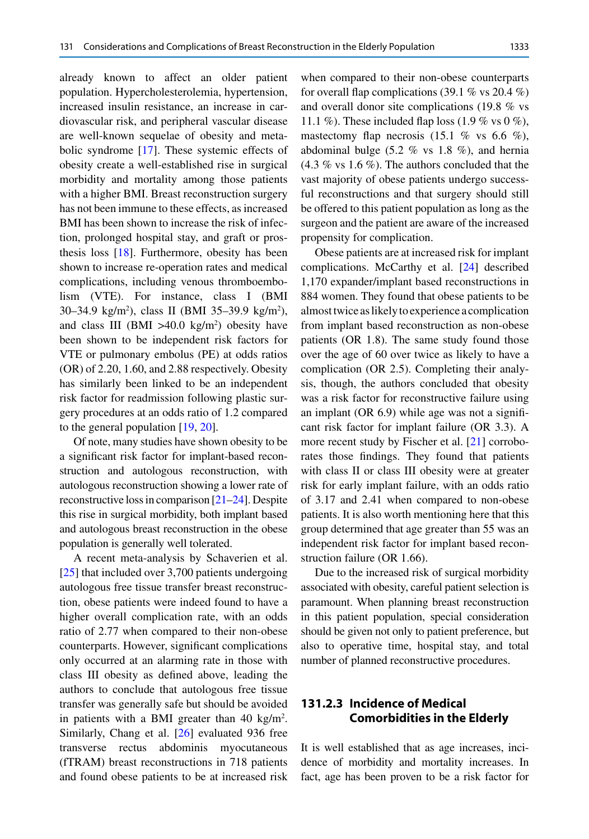already known to affect an older patient population. Hypercholesterolemia, hypertension, increased insulin resistance, an increase in cardiovascular risk, and peripheral vascular disease are well-known sequelae of obesity and metabolic syndrome  $[17]$ . These systemic effects of obesity create a well-established rise in surgical morbidity and mortality among those patients with a higher BMI. Breast reconstruction surgery has not been immune to these effects, as increased BMI has been shown to increase the risk of infection, prolonged hospital stay, and graft or prosthesis loss  $[18]$ . Furthermore, obesity has been shown to increase re-operation rates and medical complications, including venous thromboembolism (VTE). For instance, class I (BMI 30–34.9 kg/m<sup>2</sup>), class II (BMI 35–39.9 kg/m<sup>2</sup>), and class III (BMI  $>40.0 \text{ kg/m}^2$ ) obesity have been shown to be independent risk factors for VTE or pulmonary embolus (PE) at odds ratios (OR) of 2.20, 1.60, and 2.88 respectively. Obesity has similarly been linked to be an independent risk factor for readmission following plastic surgery procedures at an odds ratio of 1.2 compared to the general population  $[19, 20]$ .

 Of note, many studies have shown obesity to be a significant risk factor for implant-based reconstruction and autologous reconstruction, with autologous reconstruction showing a lower rate of reconstructive loss in comparison  $[21-24]$ . Despite this rise in surgical morbidity, both implant based and autologous breast reconstruction in the obese population is generally well tolerated.

 A recent meta-analysis by Schaverien et al.  $[25]$  that included over 3,700 patients undergoing autologous free tissue transfer breast reconstruction, obese patients were indeed found to have a higher overall complication rate, with an odds ratio of 2.77 when compared to their non-obese counterparts. However, significant complications only occurred at an alarming rate in those with class III obesity as defined above, leading the authors to conclude that autologous free tissue transfer was generally safe but should be avoided in patients with a BMI greater than 40  $\text{kg/m}^2$ . Similarly, Chang et al.  $[26]$  evaluated 936 free transverse rectus abdominis myocutaneous (fTRAM) breast reconstructions in 718 patients and found obese patients to be at increased risk

when compared to their non-obese counterparts for overall flap complications (39.1 % vs 20.4 %) and overall donor site complications (19.8 % vs 11.1 %). These included flap loss  $(1.9\% \text{ vs } 0\%),$ mastectomy flap necrosis (15.1 % vs 6.6 %), abdominal bulge  $(5.2 \% \text{ vs } 1.8 \%)$ , and hernia (4.3 % vs 1.6 %). The authors concluded that the vast majority of obese patients undergo successful reconstructions and that surgery should still be offered to this patient population as long as the surgeon and the patient are aware of the increased propensity for complication.

 Obese patients are at increased risk for implant complications. McCarthy et al. [24] described 1,170 expander/implant based reconstructions in 884 women. They found that obese patients to be almost twice as likely to experience a complication from implant based reconstruction as non- obese patients (OR 1.8). The same study found those over the age of 60 over twice as likely to have a complication (OR 2.5). Completing their analysis, though, the authors concluded that obesity was a risk factor for reconstructive failure using an implant  $(OR 6.9)$  while age was not a significant risk factor for implant failure (OR 3.3). A more recent study by Fischer et al.  $[21]$  corroborates those findings. They found that patients with class II or class III obesity were at greater risk for early implant failure, with an odds ratio of 3.17 and 2.41 when compared to non- obese patients. It is also worth mentioning here that this group determined that age greater than 55 was an independent risk factor for implant based reconstruction failure (OR 1.66).

 Due to the increased risk of surgical morbidity associated with obesity, careful patient selection is paramount. When planning breast reconstruction in this patient population, special consideration should be given not only to patient preference, but also to operative time, hospital stay, and total number of planned reconstructive procedures.

### **131.2.3 Incidence of Medical Comorbidities in the Elderly**

 It is well established that as age increases, incidence of morbidity and mortality increases. In fact, age has been proven to be a risk factor for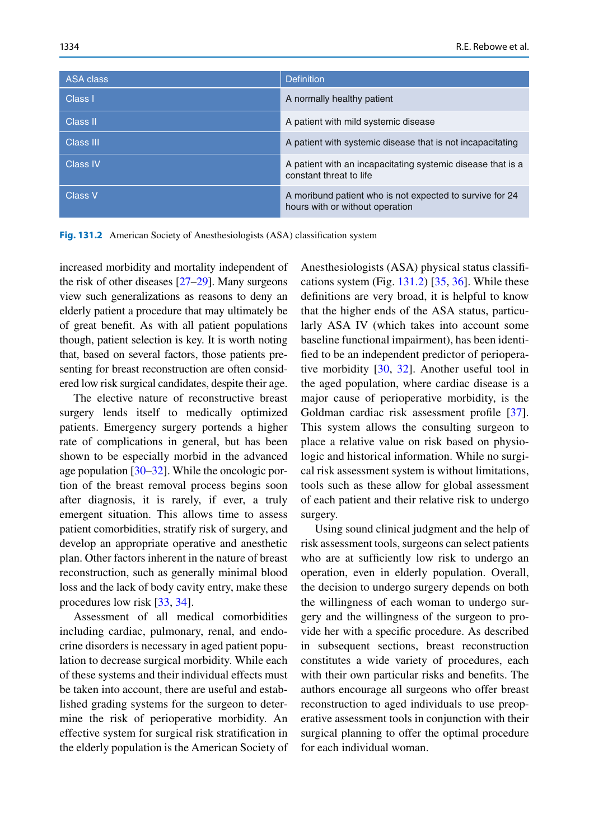| ASA class       | <b>Definition</b>                                                                           |
|-----------------|---------------------------------------------------------------------------------------------|
| Class I         | A normally healthy patient                                                                  |
| Class II        | A patient with mild systemic disease                                                        |
| Class III       | A patient with systemic disease that is not incapacitating                                  |
| <b>Class IV</b> | A patient with an incapacitating systemic disease that is a<br>constant threat to life      |
| <b>Class V</b>  | A moribund patient who is not expected to survive for 24<br>hours with or without operation |

Fig. 131.2 American Society of Anesthesiologists (ASA) classification system

increased morbidity and mortality independent of the risk of other diseases  $[27-29]$ . Many surgeons view such generalizations as reasons to deny an elderly patient a procedure that may ultimately be of great benefit. As with all patient populations though, patient selection is key. It is worth noting that, based on several factors, those patients presenting for breast reconstruction are often considered low risk surgical candidates, despite their age.

 The elective nature of reconstructive breast surgery lends itself to medically optimized patients. Emergency surgery portends a higher rate of complications in general, but has been shown to be especially morbid in the advanced age population  $[30-32]$ . While the oncologic portion of the breast removal process begins soon after diagnosis, it is rarely, if ever, a truly emergent situation. This allows time to assess patient comorbidities, stratify risk of surgery, and develop an appropriate operative and anesthetic plan. Other factors inherent in the nature of breast reconstruction, such as generally minimal blood loss and the lack of body cavity entry, make these procedures low risk [33, [34](#page-16-0)].

 Assessment of all medical comorbidities including cardiac, pulmonary, renal, and endocrine disorders is necessary in aged patient population to decrease surgical morbidity. While each of these systems and their individual effects must be taken into account, there are useful and established grading systems for the surgeon to determine the risk of perioperative morbidity. An effective system for surgical risk stratification in the elderly population is the American Society of

Anesthesiologists (ASA) physical status classifi cations system (Fig.  $131.2$ ) [ $35, 36$ ]. While these definitions are very broad, it is helpful to know that the higher ends of the ASA status, particularly ASA IV (which takes into account some baseline functional impairment), has been identified to be an independent predictor of perioperative morbidity  $[30, 32]$  $[30, 32]$  $[30, 32]$ . Another useful tool in the aged population, where cardiac disease is a major cause of perioperative morbidity, is the Goldman cardiac risk assessment profile [37]. This system allows the consulting surgeon to place a relative value on risk based on physiologic and historical information. While no surgical risk assessment system is without limitations, tools such as these allow for global assessment of each patient and their relative risk to undergo surgery.

 Using sound clinical judgment and the help of risk assessment tools, surgeons can select patients who are at sufficiently low risk to undergo an operation, even in elderly population. Overall, the decision to undergo surgery depends on both the willingness of each woman to undergo surgery and the willingness of the surgeon to provide her with a specific procedure. As described in subsequent sections, breast reconstruction constitutes a wide variety of procedures, each with their own particular risks and benefits. The authors encourage all surgeons who offer breast reconstruction to aged individuals to use preoperative assessment tools in conjunction with their surgical planning to offer the optimal procedure for each individual woman.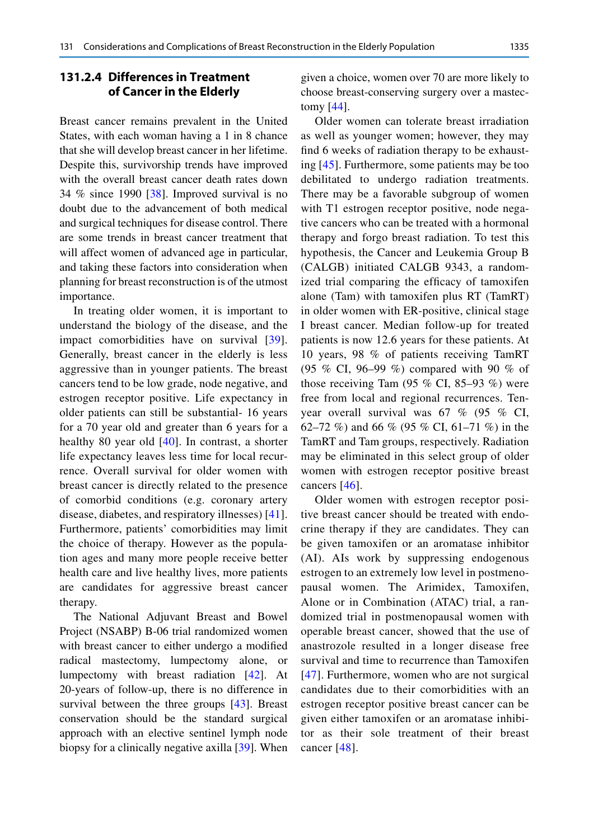## **131.2.4 Differences in Treatment of Cancer in the Elderly**

 Breast cancer remains prevalent in the United States, with each woman having a 1 in 8 chance that she will develop breast cancer in her lifetime. Despite this, survivorship trends have improved with the overall breast cancer death rates down 34 % since 1990  $[38]$ . Improved survival is no doubt due to the advancement of both medical and surgical techniques for disease control. There are some trends in breast cancer treatment that will affect women of advanced age in particular, and taking these factors into consideration when planning for breast reconstruction is of the utmost importance.

 In treating older women, it is important to understand the biology of the disease, and the impact comorbidities have on survival [39]. Generally, breast cancer in the elderly is less aggressive than in younger patients. The breast cancers tend to be low grade, node negative, and estrogen receptor positive. Life expectancy in older patients can still be substantial- 16 years for a 70 year old and greater than 6 years for a healthy 80 year old  $[40]$ . In contrast, a shorter life expectancy leaves less time for local recurrence. Overall survival for older women with breast cancer is directly related to the presence of comorbid conditions (e.g. coronary artery disease, diabetes, and respiratory illnesses) [41]. Furthermore, patients' comorbidities may limit the choice of therapy. However as the population ages and many more people receive better health care and live healthy lives, more patients are candidates for aggressive breast cancer therapy.

 The National Adjuvant Breast and Bowel Project (NSABP) B-06 trial randomized women with breast cancer to either undergo a modified radical mastectomy, lumpectomy alone, or lumpectomy with breast radiation  $[42]$ . At 20-years of follow-up, there is no difference in survival between the three groups [43]. Breast conservation should be the standard surgical approach with an elective sentinel lymph node biopsy for a clinically negative axilla [39]. When

given a choice, women over 70 are more likely to choose breast-conserving surgery over a mastectomy  $[44]$ .

 Older women can tolerate breast irradiation as well as younger women; however, they may find 6 weeks of radiation therapy to be exhausting  $[45]$ . Furthermore, some patients may be too debilitated to undergo radiation treatments. There may be a favorable subgroup of women with T1 estrogen receptor positive, node negative cancers who can be treated with a hormonal therapy and forgo breast radiation. To test this hypothesis, the Cancer and Leukemia Group B (CALGB) initiated CALGB 9343, a randomized trial comparing the efficacy of tamoxifen alone (Tam) with tamoxifen plus RT (TamRT) in older women with ER-positive, clinical stage I breast cancer. Median follow-up for treated patients is now 12.6 years for these patients. At 10 years, 98 % of patients receiving TamRT (95 % CI, 96–99 %) compared with 90 % of those receiving Tam  $(95\% \text{ CI}, 85-93\%)$  were free from local and regional recurrences. Tenyear overall survival was 67 % (95 % CI, 62–72 %) and 66 % (95 % CI, 61–71 %) in the TamRT and Tam groups, respectively. Radiation may be eliminated in this select group of older women with estrogen receptor positive breast cancers  $[46]$ .

 Older women with estrogen receptor positive breast cancer should be treated with endocrine therapy if they are candidates. They can be given tamoxifen or an aromatase inhibitor (AI). AIs work by suppressing endogenous estrogen to an extremely low level in postmenopausal women. The Arimidex, Tamoxifen, Alone or in Combination (ATAC) trial, a randomized trial in postmenopausal women with operable breast cancer, showed that the use of anastrozole resulted in a longer disease free survival and time to recurrence than Tamoxifen [47]. Furthermore, women who are not surgical candidates due to their comorbidities with an estrogen receptor positive breast cancer can be given either tamoxifen or an aromatase inhibitor as their sole treatment of their breast cancer  $[48]$ .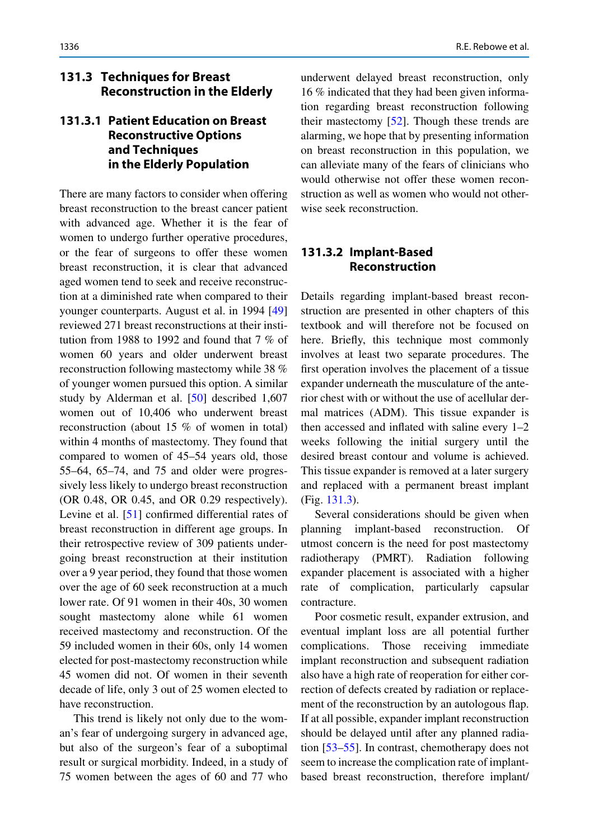# **131.3 Techniques for Breast Reconstruction in the Elderly**

# **131.3.1 Patient Education on Breast Reconstructive Options and Techniques in the Elderly Population**

 There are many factors to consider when offering breast reconstruction to the breast cancer patient with advanced age. Whether it is the fear of women to undergo further operative procedures, or the fear of surgeons to offer these women breast reconstruction, it is clear that advanced aged women tend to seek and receive reconstruction at a diminished rate when compared to their younger counterparts. August et al. in 1994 [49] reviewed 271 breast reconstructions at their institution from 1988 to 1992 and found that 7 % of women 60 years and older underwent breast reconstruction following mastectomy while 38 % of younger women pursued this option. A similar study by Alderman et al. [50] described 1,607 women out of 10,406 who underwent breast reconstruction (about 15 % of women in total) within 4 months of mastectomy. They found that compared to women of 45–54 years old, those 55–64, 65–74, and 75 and older were progressively less likely to undergo breast reconstruction (OR 0.48, OR 0.45, and OR 0.29 respectively). Levine et al.  $[51]$  confirmed differential rates of breast reconstruction in different age groups. In their retrospective review of 309 patients undergoing breast reconstruction at their institution over a 9 year period, they found that those women over the age of 60 seek reconstruction at a much lower rate. Of 91 women in their 40s, 30 women sought mastectomy alone while 61 women received mastectomy and reconstruction. Of the 59 included women in their 60s, only 14 women elected for post-mastectomy reconstruction while 45 women did not. Of women in their seventh decade of life, only 3 out of 25 women elected to have reconstruction.

 This trend is likely not only due to the woman's fear of undergoing surgery in advanced age, but also of the surgeon's fear of a suboptimal result or surgical morbidity. Indeed, in a study of 75 women between the ages of 60 and 77 who

underwent delayed breast reconstruction, only 16 % indicated that they had been given information regarding breast reconstruction following their mastectomy  $[52]$ . Though these trends are alarming, we hope that by presenting information on breast reconstruction in this population, we can alleviate many of the fears of clinicians who would otherwise not offer these women reconstruction as well as women who would not otherwise seek reconstruction.

### **131.3.2 Implant-Based Reconstruction**

 Details regarding implant-based breast reconstruction are presented in other chapters of this textbook and will therefore not be focused on here. Briefly, this technique most commonly involves at least two separate procedures. The first operation involves the placement of a tissue expander underneath the musculature of the anterior chest with or without the use of acellular dermal matrices (ADM). This tissue expander is then accessed and inflated with saline every  $1-2$ weeks following the initial surgery until the desired breast contour and volume is achieved. This tissue expander is removed at a later surgery and replaced with a permanent breast implant (Fig. [131.3](#page-6-0)).

 Several considerations should be given when planning implant-based reconstruction. Of utmost concern is the need for post mastectomy radiotherapy (PMRT). Radiation following expander placement is associated with a higher rate of complication, particularly capsular contracture.

 Poor cosmetic result, expander extrusion, and eventual implant loss are all potential further complications. Those receiving immediate implant reconstruction and subsequent radiation also have a high rate of reoperation for either correction of defects created by radiation or replacement of the reconstruction by an autologous flap. If at all possible, expander implant reconstruction should be delayed until after any planned radiation  $[53-55]$ . In contrast, chemotherapy does not seem to increase the complication rate of implantbased breast reconstruction, therefore implant/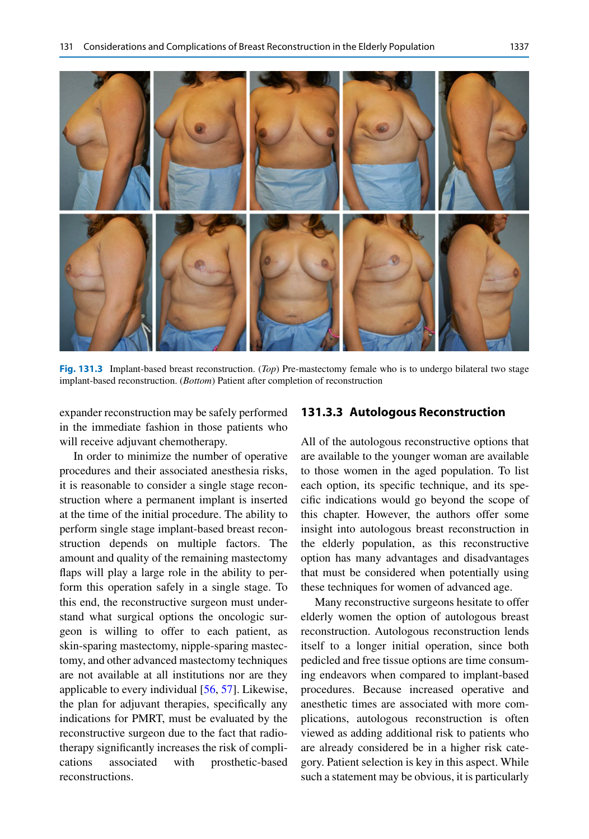<span id="page-6-0"></span>

**Fig. 131.3** Implant-based breast reconstruction. (*Top*) Pre-mastectomy female who is to undergo bilateral two stage implant-based reconstruction. (*Bottom*) Patient after completion of reconstruction

expander reconstruction may be safely performed in the immediate fashion in those patients who will receive adjuvant chemotherapy.

 In order to minimize the number of operative procedures and their associated anesthesia risks, it is reasonable to consider a single stage reconstruction where a permanent implant is inserted at the time of the initial procedure. The ability to perform single stage implant-based breast reconstruction depends on multiple factors. The amount and quality of the remaining mastectomy flaps will play a large role in the ability to perform this operation safely in a single stage. To this end, the reconstructive surgeon must understand what surgical options the oncologic surgeon is willing to offer to each patient, as skin-sparing mastectomy, nipple-sparing mastectomy, and other advanced mastectomy techniques are not available at all institutions nor are they applicable to every individual  $[56, 57]$ . Likewise, the plan for adjuvant therapies, specifically any indications for PMRT, must be evaluated by the reconstructive surgeon due to the fact that radiotherapy significantly increases the risk of complications associated with prosthetic-based reconstructions.

#### **131.3.3 Autologous Reconstruction**

 All of the autologous reconstructive options that are available to the younger woman are available to those women in the aged population. To list each option, its specific technique, and its specific indications would go beyond the scope of this chapter. However, the authors offer some insight into autologous breast reconstruction in the elderly population, as this reconstructive option has many advantages and disadvantages that must be considered when potentially using these techniques for women of advanced age.

 Many reconstructive surgeons hesitate to offer elderly women the option of autologous breast reconstruction. Autologous reconstruction lends itself to a longer initial operation, since both pedicled and free tissue options are time consuming endeavors when compared to implant-based procedures. Because increased operative and anesthetic times are associated with more complications, autologous reconstruction is often viewed as adding additional risk to patients who are already considered be in a higher risk category. Patient selection is key in this aspect. While such a statement may be obvious, it is particularly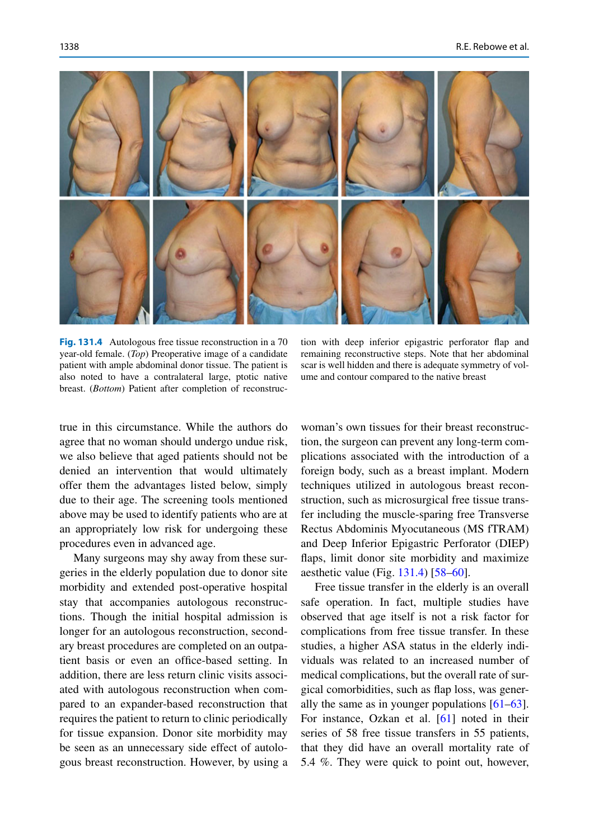

 **Fig. 131.4** Autologous free tissue reconstruction in a 70 year-old female. (*Top*) Preoperative image of a candidate patient with ample abdominal donor tissue. The patient is also noted to have a contralateral large, ptotic native breast. (*Bottom*) Patient after completion of reconstruc-

tion with deep inferior epigastric perforator flap and remaining reconstructive steps. Note that her abdominal scar is well hidden and there is adequate symmetry of volume and contour compared to the native breast

true in this circumstance. While the authors do agree that no woman should undergo undue risk, we also believe that aged patients should not be denied an intervention that would ultimately offer them the advantages listed below, simply due to their age. The screening tools mentioned above may be used to identify patients who are at an appropriately low risk for undergoing these procedures even in advanced age.

 Many surgeons may shy away from these surgeries in the elderly population due to donor site morbidity and extended post-operative hospital stay that accompanies autologous reconstructions. Though the initial hospital admission is longer for an autologous reconstruction, secondary breast procedures are completed on an outpatient basis or even an office-based setting. In addition, there are less return clinic visits associated with autologous reconstruction when compared to an expander-based reconstruction that requires the patient to return to clinic periodically for tissue expansion. Donor site morbidity may be seen as an unnecessary side effect of autologous breast reconstruction. However, by using a woman's own tissues for their breast reconstruction, the surgeon can prevent any long-term complications associated with the introduction of a foreign body, such as a breast implant. Modern techniques utilized in autologous breast reconstruction, such as microsurgical free tissue transfer including the muscle-sparing free Transverse Rectus Abdominis Myocutaneous (MS fTRAM) and Deep Inferior Epigastric Perforator (DIEP) flaps, limit donor site morbidity and maximize aesthetic value (Fig.  $131.4$ ) [58-60].

 Free tissue transfer in the elderly is an overall safe operation. In fact, multiple studies have observed that age itself is not a risk factor for complications from free tissue transfer. In these studies, a higher ASA status in the elderly individuals was related to an increased number of medical complications, but the overall rate of surgical comorbidities, such as flap loss, was generally the same as in younger populations  $[61-63]$ . For instance, Ozkan et al.  $[61]$  noted in their series of 58 free tissue transfers in 55 patients, that they did have an overall mortality rate of 5.4 %. They were quick to point out, however,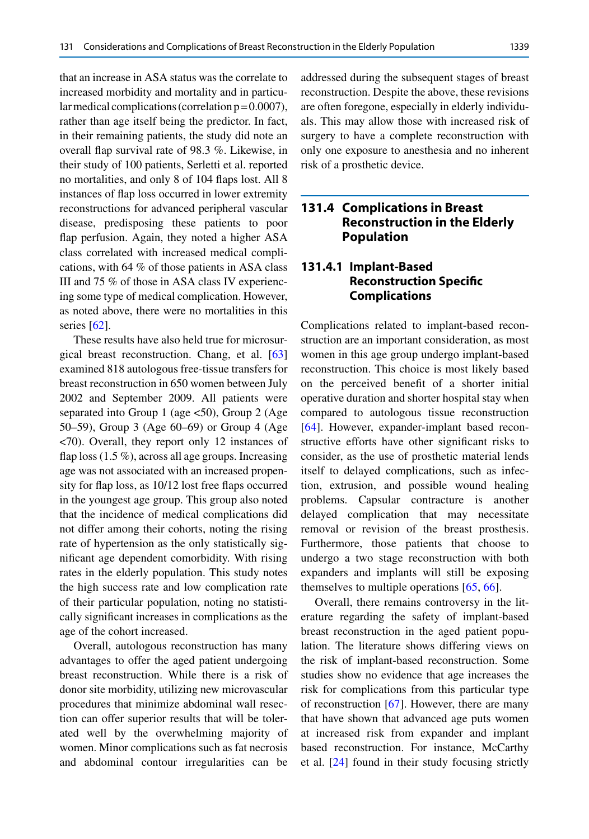that an increase in ASA status was the correlate to increased morbidity and mortality and in particular medical complications (correlation  $p = 0.0007$ ), rather than age itself being the predictor. In fact, in their remaining patients, the study did note an overall flap survival rate of 98.3 %. Likewise, in their study of 100 patients, Serletti et al. reported no mortalities, and only 8 of 104 flaps lost. All 8 instances of flap loss occurred in lower extremity reconstructions for advanced peripheral vascular disease, predisposing these patients to poor flap perfusion. Again, they noted a higher ASA class correlated with increased medical complications, with 64 % of those patients in ASA class III and 75 % of those in ASA class IV experiencing some type of medical complication. However, as noted above, there were no mortalities in this series [62].

 These results have also held true for microsurgical breast reconstruction. Chang, et al. [63] examined 818 autologous free-tissue transfers for breast reconstruction in 650 women between July 2002 and September 2009. All patients were separated into Group 1 (age  $\lt 50$ ), Group 2 (Age 50–59), Group 3 (Age 60–69) or Group 4 (Age <70). Overall, they report only 12 instances of flap loss  $(1.5\%)$ , across all age groups. Increasing age was not associated with an increased propensity for flap loss, as 10/12 lost free flaps occurred in the youngest age group. This group also noted that the incidence of medical complications did not differ among their cohorts, noting the rising rate of hypertension as the only statistically significant age dependent comorbidity. With rising rates in the elderly population. This study notes the high success rate and low complication rate of their particular population, noting no statistically significant increases in complications as the age of the cohort increased.

 Overall, autologous reconstruction has many advantages to offer the aged patient undergoing breast reconstruction. While there is a risk of donor site morbidity, utilizing new microvascular procedures that minimize abdominal wall resection can offer superior results that will be tolerated well by the overwhelming majority of women. Minor complications such as fat necrosis and abdominal contour irregularities can be

addressed during the subsequent stages of breast reconstruction. Despite the above, these revisions are often foregone, especially in elderly individuals. This may allow those with increased risk of surgery to have a complete reconstruction with only one exposure to anesthesia and no inherent risk of a prosthetic device.

## **131.4 Complications in Breast Reconstruction in the Elderly Population**

## **131.4.1 Implant-Based Reconstruction Specific Complications**

 Complications related to implant-based reconstruction are an important consideration, as most women in this age group undergo implant-based reconstruction. This choice is most likely based on the perceived benefit of a shorter initial operative duration and shorter hospital stay when compared to autologous tissue reconstruction [64]. However, expander-implant based reconstructive efforts have other significant risks to consider, as the use of prosthetic material lends itself to delayed complications, such as infection, extrusion, and possible wound healing problems. Capsular contracture is another delayed complication that may necessitate removal or revision of the breast prosthesis. Furthermore, those patients that choose to undergo a two stage reconstruction with both expanders and implants will still be exposing themselves to multiple operations  $[65, 66]$ .

 Overall, there remains controversy in the literature regarding the safety of implant-based breast reconstruction in the aged patient population. The literature shows differing views on the risk of implant-based reconstruction. Some studies show no evidence that age increases the risk for complications from this particular type of reconstruction  $[67]$ . However, there are many that have shown that advanced age puts women at increased risk from expander and implant based reconstruction. For instance, McCarthy et al.  $[24]$  found in their study focusing strictly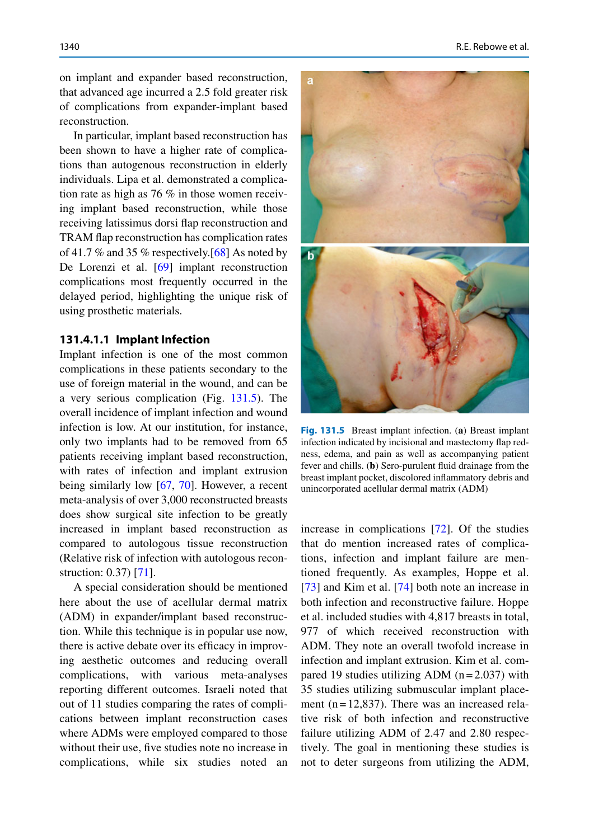$\overline{a}$ 

 $\mathbf{b}$ 

on implant and expander based reconstruction, that advanced age incurred a 2.5 fold greater risk of complications from expander-implant based reconstruction.

 In particular, implant based reconstruction has been shown to have a higher rate of complications than autogenous reconstruction in elderly individuals. Lipa et al. demonstrated a complication rate as high as 76 % in those women receiving implant based reconstruction, while those receiving latissimus dorsi flap reconstruction and TRAM flap reconstruction has complication rates of 41.7  $\%$  and 35  $\%$  respectively.[68] As noted by De Lorenzi et al. [69] implant reconstruction complications most frequently occurred in the delayed period, highlighting the unique risk of using prosthetic materials.

#### **131.4.1.1 Implant Infection**

 Implant infection is one of the most common complications in these patients secondary to the use of foreign material in the wound, and can be a very serious complication (Fig.  $131.5$ ). The overall incidence of implant infection and wound infection is low. At our institution, for instance, only two implants had to be removed from 65 patients receiving implant based reconstruction, with rates of infection and implant extrusion being similarly low  $[67, 70]$  $[67, 70]$  $[67, 70]$ . However, a recent meta-analysis of over 3,000 reconstructed breasts does show surgical site infection to be greatly increased in implant based reconstruction as compared to autologous tissue reconstruction (Relative risk of infection with autologous reconstruction: 0.37) [71].

 A special consideration should be mentioned here about the use of acellular dermal matrix (ADM) in expander/implant based reconstruction. While this technique is in popular use now, there is active debate over its efficacy in improving aesthetic outcomes and reducing overall complications, with various meta-analyses reporting different outcomes. Israeli noted that out of 11 studies comparing the rates of complications between implant reconstruction cases where ADMs were employed compared to those without their use, five studies note no increase in complications, while six studies noted an





**Fig. 131.5** Breast implant infection. (a) Breast implant infection indicated by incisional and mastectomy flap redness, edema, and pain as well as accompanying patient fever and chills. (**b**) Sero-purulent fluid drainage from the breast implant pocket, discolored inflammatory debris and unincorporated acellular dermal matrix (ADM)

increase in complications  $[72]$ . Of the studies that do mention increased rates of complications, infection and implant failure are mentioned frequently. As examples, Hoppe et al.  $[73]$  and Kim et al.  $[74]$  both note an increase in both infection and reconstructive failure. Hoppe et al. included studies with 4,817 breasts in total, 977 of which received reconstruction with ADM. They note an overall twofold increase in infection and implant extrusion. Kim et al. compared 19 studies utilizing ADM  $(n=2.037)$  with 35 studies utilizing submuscular implant placement ( $n = 12,837$ ). There was an increased relative risk of both infection and reconstructive failure utilizing ADM of 2.47 and 2.80 respectively. The goal in mentioning these studies is not to deter surgeons from utilizing the ADM,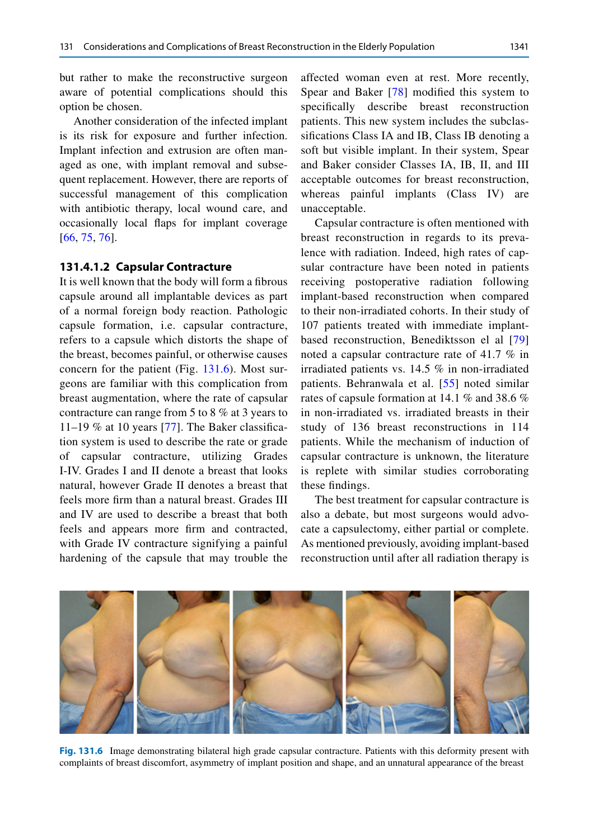but rather to make the reconstructive surgeon aware of potential complications should this option be chosen.

 Another consideration of the infected implant is its risk for exposure and further infection. Implant infection and extrusion are often managed as one, with implant removal and subsequent replacement. However, there are reports of successful management of this complication with antibiotic therapy, local wound care, and occasionally local flaps for implant coverage  $[66, 75, 76]$ .

#### **131.4.1.2 Capsular Contracture**

It is well known that the body will form a fibrous capsule around all implantable devices as part of a normal foreign body reaction. Pathologic capsule formation, i.e. capsular contracture, refers to a capsule which distorts the shape of the breast, becomes painful, or otherwise causes concern for the patient (Fig.  $131.6$ ). Most surgeons are familiar with this complication from breast augmentation, where the rate of capsular contracture can range from 5 to 8 % at 3 years to 11–19 % at 10 years [77]. The Baker classification system is used to describe the rate or grade of capsular contracture, utilizing Grades I-IV. Grades I and II denote a breast that looks natural, however Grade II denotes a breast that feels more firm than a natural breast. Grades III and IV are used to describe a breast that both feels and appears more firm and contracted, with Grade IV contracture signifying a painful hardening of the capsule that may trouble the

affected woman even at rest. More recently, Spear and Baker  $[78]$  modified this system to specifically describe breast reconstruction patients. This new system includes the subclassifications Class IA and IB, Class IB denoting a soft but visible implant. In their system, Spear and Baker consider Classes IA, IB, II, and III acceptable outcomes for breast reconstruction, whereas painful implants (Class IV) are unacceptable.

 Capsular contracture is often mentioned with breast reconstruction in regards to its prevalence with radiation. Indeed, high rates of capsular contracture have been noted in patients receiving postoperative radiation following implant-based reconstruction when compared to their non- irradiated cohorts. In their study of 107 patients treated with immediate implantbased reconstruction, Benediktsson el al [79] noted a capsular contracture rate of 41.7 % in irradiated patients vs. 14.5 % in non-irradiated patients. Behranwala et al. [55] noted similar rates of capsule formation at 14.1 % and 38.6 % in non- irradiated vs. irradiated breasts in their study of 136 breast reconstructions in 114 patients. While the mechanism of induction of capsular contracture is unknown, the literature is replete with similar studies corroborating these findings.

 The best treatment for capsular contracture is also a debate, but most surgeons would advocate a capsulectomy, either partial or complete. As mentioned previously, avoiding implant-based reconstruction until after all radiation therapy is



 **Fig. 131.6** Image demonstrating bilateral high grade capsular contracture. Patients with this deformity present with complaints of breast discomfort, asymmetry of implant position and shape, and an unnatural appearance of the breast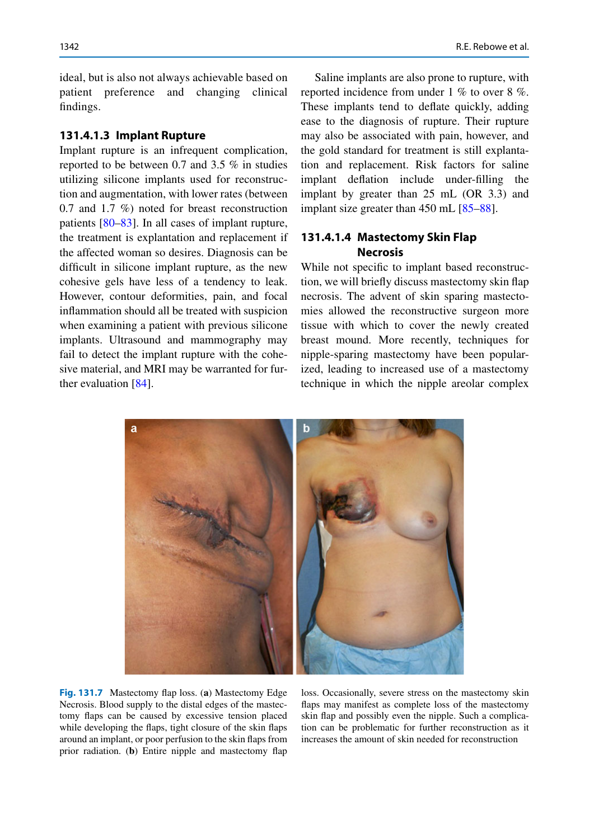#### <span id="page-11-0"></span>**131.4.1.3 Implant Rupture**

 Implant rupture is an infrequent complication, reported to be between 0.7 and 3.5 % in studies utilizing silicone implants used for reconstruction and augmentation, with lower rates (between 0.7 and 1.7 %) noted for breast reconstruction patients  $[80-83]$ . In all cases of implant rupture, the treatment is explantation and replacement if the affected woman so desires. Diagnosis can be difficult in silicone implant rupture, as the new cohesive gels have less of a tendency to leak. However, contour deformities, pain, and focal inflammation should all be treated with suspicion when examining a patient with previous silicone implants. Ultrasound and mammography may fail to detect the implant rupture with the cohesive material, and MRI may be warranted for further evaluation  $[84]$ .

 Saline implants are also prone to rupture, with reported incidence from under 1 % to over 8 %. These implants tend to deflate quickly, adding ease to the diagnosis of rupture. Their rupture may also be associated with pain, however, and the gold standard for treatment is still explantation and replacement. Risk factors for saline implant deflation include under-filling the implant by greater than 25 mL (OR 3.3) and implant size greater than  $450$  mL  $[85-88]$ .

#### **131.4.1.4 Mastectomy Skin Flap Necrosis**

While not specific to implant based reconstruction, we will briefly discuss mastectomy skin flap necrosis. The advent of skin sparing mastectomies allowed the reconstructive surgeon more tissue with which to cover the newly created breast mound. More recently, techniques for nipple- sparing mastectomy have been popularized, leading to increased use of a mastectomy technique in which the nipple areolar complex



**Fig. 131.7** Mastectomy flap loss. (a) Mastectomy Edge Necrosis. Blood supply to the distal edges of the mastectomy flaps can be caused by excessive tension placed while developing the flaps, tight closure of the skin flaps around an implant, or poor perfusion to the skin flaps from prior radiation. (b) Entire nipple and mastectomy flap loss. Occasionally, severe stress on the mastectomy skin flaps may manifest as complete loss of the mastectomy skin flap and possibly even the nipple. Such a complication can be problematic for further reconstruction as it increases the amount of skin needed for reconstruction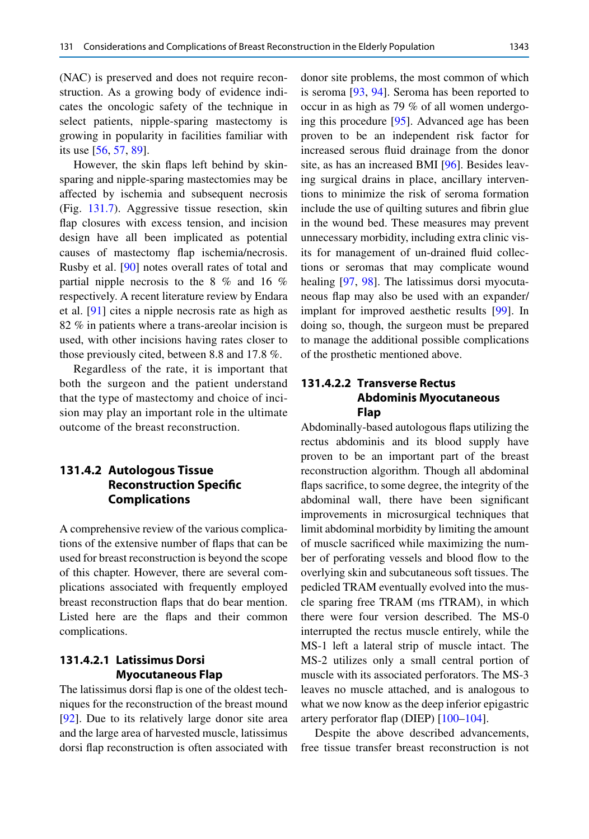(NAC) is preserved and does not require reconstruction. As a growing body of evidence indicates the oncologic safety of the technique in select patients, nipple-sparing mastectomy is growing in popularity in facilities familiar with its use  $[56, 57, 89]$  $[56, 57, 89]$  $[56, 57, 89]$ .

However, the skin flaps left behind by skinsparing and nipple-sparing mastectomies may be affected by ischemia and subsequent necrosis (Fig. 131.7). Aggressive tissue resection, skin flap closures with excess tension, and incision design have all been implicated as potential causes of mastectomy flap ischemia/necrosis. Rusby et al. [90] notes overall rates of total and partial nipple necrosis to the 8 % and 16 % respectively. A recent literature review by Endara et al.  $[91]$  cites a nipple necrosis rate as high as 82 % in patients where a trans-areolar incision is used, with other incisions having rates closer to those previously cited, between 8.8 and 17.8 %.

 Regardless of the rate, it is important that both the surgeon and the patient understand that the type of mastectomy and choice of incision may play an important role in the ultimate outcome of the breast reconstruction.

### **131.4.2 Autologous Tissue Reconstruction Specific Complications**

 A comprehensive review of the various complications of the extensive number of flaps that can be used for breast reconstruction is beyond the scope of this chapter. However, there are several complications associated with frequently employed breast reconstruction flaps that do bear mention. Listed here are the flaps and their common complications.

#### **131.4.2.1 Latissimus Dorsi Myocutaneous Flap**

The latissimus dorsi flap is one of the oldest techniques for the reconstruction of the breast mound [92]. Due to its relatively large donor site area and the large area of harvested muscle, latissimus dorsi flap reconstruction is often associated with

donor site problems, the most common of which is seroma  $[93, 94]$ . Seroma has been reported to occur in as high as 79 % of all women undergoing this procedure  $[95]$ . Advanced age has been proven to be an independent risk factor for increased serous fluid drainage from the donor site, as has an increased BMI [96]. Besides leaving surgical drains in place, ancillary interventions to minimize the risk of seroma formation include the use of quilting sutures and fibrin glue in the wound bed. These measures may prevent unnecessary morbidity, including extra clinic visits for management of un-drained fluid collections or seromas that may complicate wound healing  $[97, 98]$  $[97, 98]$  $[97, 98]$ . The latissimus dorsi myocutaneous flap may also be used with an expander/ implant for improved aesthetic results [99]. In doing so, though, the surgeon must be prepared to manage the additional possible complications of the prosthetic mentioned above.

#### **131.4.2.2 Transverse Rectus Abdominis Myocutaneous Flap**

Abdominally-based autologous flaps utilizing the rectus abdominis and its blood supply have proven to be an important part of the breast reconstruction algorithm. Though all abdominal flaps sacrifice, to some degree, the integrity of the abdominal wall, there have been significant improvements in microsurgical techniques that limit abdominal morbidity by limiting the amount of muscle sacrificed while maximizing the number of perforating vessels and blood flow to the overlying skin and subcutaneous soft tissues. The pedicled TRAM eventually evolved into the muscle sparing free TRAM (ms fTRAM), in which there were four version described. The MS-0 interrupted the rectus muscle entirely, while the MS-1 left a lateral strip of muscle intact. The MS-2 utilizes only a small central portion of muscle with its associated perforators. The MS-3 leaves no muscle attached, and is analogous to what we now know as the deep inferior epigastric artery perforator flap (DIEP)  $[100-104]$ .

 Despite the above described advancements, free tissue transfer breast reconstruction is not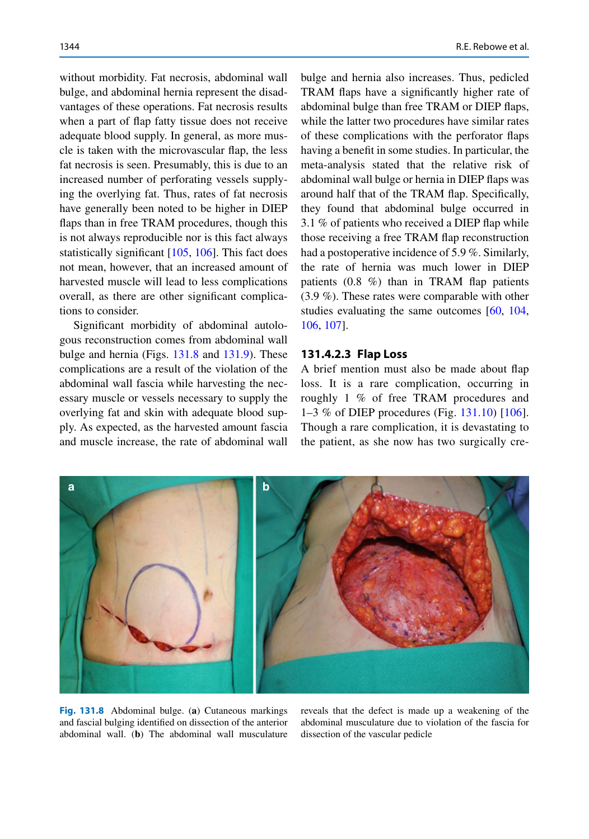without morbidity. Fat necrosis, abdominal wall bulge, and abdominal hernia represent the disadvantages of these operations. Fat necrosis results when a part of flap fatty tissue does not receive adequate blood supply. In general, as more muscle is taken with the microvascular flap, the less fat necrosis is seen. Presumably, this is due to an increased number of perforating vessels supplying the overlying fat. Thus, rates of fat necrosis have generally been noted to be higher in DIEP flaps than in free TRAM procedures, though this is not always reproducible nor is this fact always statistically significant  $[105, 106]$ . This fact does not mean, however, that an increased amount of harvested muscle will lead to less complications overall, as there are other significant complications to consider.

Significant morbidity of abdominal autologous reconstruction comes from abdominal wall bulge and hernia (Figs. 131.8 and 131.9). These complications are a result of the violation of the abdominal wall fascia while harvesting the necessary muscle or vessels necessary to supply the overlying fat and skin with adequate blood supply. As expected, as the harvested amount fascia and muscle increase, the rate of abdominal wall

bulge and hernia also increases. Thus, pedicled TRAM flaps have a significantly higher rate of abdominal bulge than free TRAM or DIEP flaps, while the latter two procedures have similar rates of these complications with the perforator flaps having a benefit in some studies. In particular, the meta-analysis stated that the relative risk of abdominal wall bulge or hernia in DIEP flaps was around half that of the TRAM flap. Specifically, they found that abdominal bulge occurred in 3.1  $%$  of patients who received a DIEP flap while those receiving a free TRAM flap reconstruction had a postoperative incidence of 5.9 %. Similarly, the rate of hernia was much lower in DIEP patients  $(0.8 \%)$  than in TRAM flap patients (3.9 %). These rates were comparable with other studies evaluating the same outcomes  $[60, 104,$  $[60, 104,$  $[60, 104,$ 106, 107].

#### **131.4.2.3 Flap Loss**

A brief mention must also be made about flap loss. It is a rare complication, occurring in roughly 1 % of free TRAM procedures and 1–3 % of DIEP procedures (Fig. 131.10)  $[106]$ . Though a rare complication, it is devastating to the patient, as she now has two surgically cre-



Fig. 131.8 Abdominal bulge. (a) Cutaneous markings and fascial bulging identified on dissection of the anterior abdominal wall. (**b**) The abdominal wall musculature

reveals that the defect is made up a weakening of the abdominal musculature due to violation of the fascia for dissection of the vascular pedicle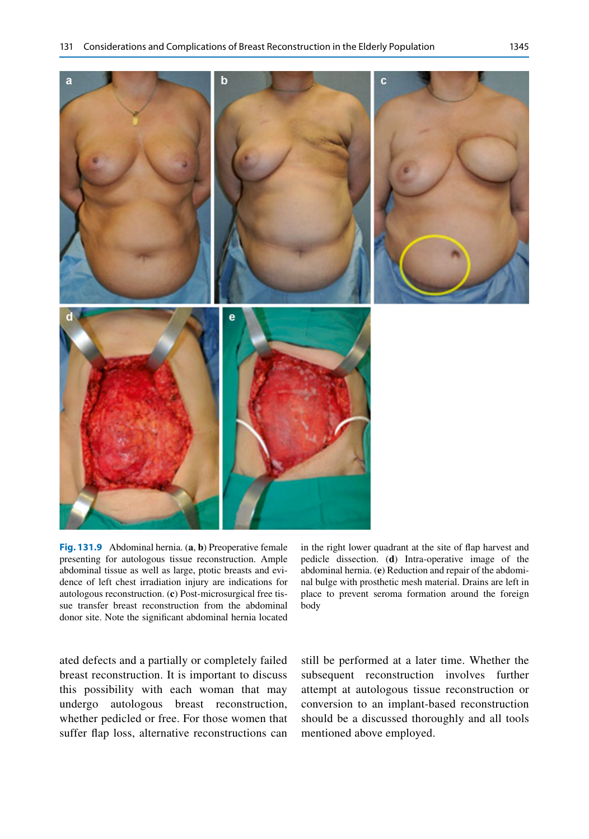<span id="page-14-0"></span>

**Fig. 131.9** Abdominal hernia. (a, b) Preoperative female presenting for autologous tissue reconstruction. Ample abdominal tissue as well as large, ptotic breasts and evidence of left chest irradiation injury are indications for autologous reconstruction. (c) Post-microsurgical free tissue transfer breast reconstruction from the abdominal donor site. Note the significant abdominal hernia located

ated defects and a partially or completely failed breast reconstruction. It is important to discuss this possibility with each woman that may undergo autologous breast reconstruction, whether pedicled or free. For those women that suffer flap loss, alternative reconstructions can

in the right lower quadrant at the site of flap harvest and pedicle dissection. (**d**) Intra-operative image of the abdominal hernia. (e) Reduction and repair of the abdominal bulge with prosthetic mesh material. Drains are left in place to prevent seroma formation around the foreign body

still be performed at a later time. Whether the subsequent reconstruction involves further attempt at autologous tissue reconstruction or conversion to an implant-based reconstruction should be a discussed thoroughly and all tools mentioned above employed.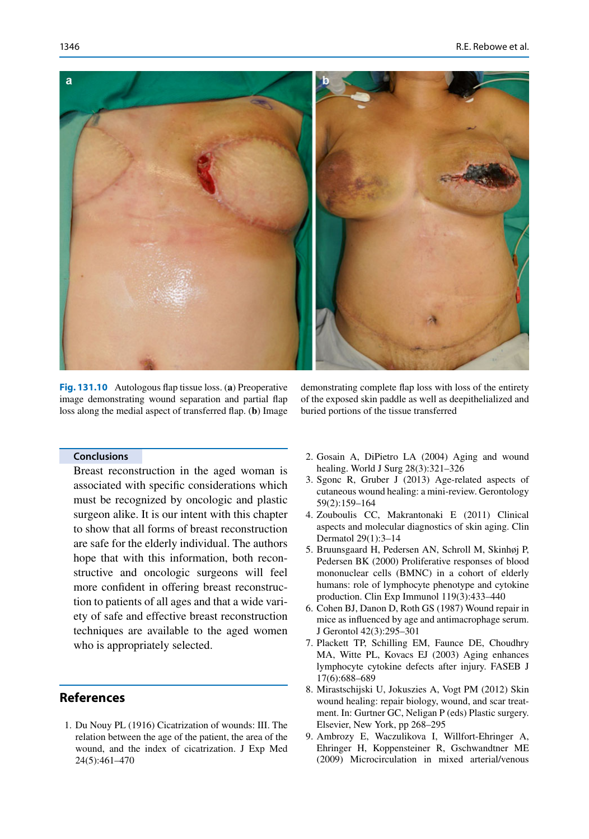<span id="page-15-0"></span>

**Fig. 131.10** Autologous flap tissue loss. (a) Preoperative image demonstrating wound separation and partial flap loss along the medial aspect of transferred flap. (**b**) Image

#### **Conclusions**

 Breast reconstruction in the aged woman is associated with specific considerations which must be recognized by oncologic and plastic surgeon alike. It is our intent with this chapter to show that all forms of breast reconstruction are safe for the elderly individual. The authors hope that with this information, both reconstructive and oncologic surgeons will feel more confident in offering breast reconstruction to patients of all ages and that a wide variety of safe and effective breast reconstruction techniques are available to the aged women who is appropriately selected.

## **References**

 1. Du Nouy PL (1916) Cicatrization of wounds: III. The relation between the age of the patient, the area of the wound, and the index of cicatrization. J Exp Med 24(5):461–470

demonstrating complete flap loss with loss of the entirety of the exposed skin paddle as well as deepithelialized and buried portions of the tissue transferred

- 2. Gosain A, DiPietro LA (2004) Aging and wound healing. World J Surg 28(3):321–326
- 3. Sgonc R, Gruber J (2013) Age-related aspects of cutaneous wound healing: a mini-review. Gerontology 59(2):159–164
- 4. Zouboulis CC, Makrantonaki E (2011) Clinical aspects and molecular diagnostics of skin aging. Clin Dermatol 29(1):3–14
- 5. Bruunsgaard H, Pedersen AN, Schroll M, Skinhøj P, Pedersen BK (2000) Proliferative responses of blood mononuclear cells (BMNC) in a cohort of elderly humans: role of lymphocyte phenotype and cytokine production. Clin Exp Immunol 119(3):433–440
- 6. Cohen BJ, Danon D, Roth GS (1987) Wound repair in mice as influenced by age and antimacrophage serum. J Gerontol 42(3):295–301
- 7. Plackett TP, Schilling EM, Faunce DE, Choudhry MA, Witte PL, Kovacs EJ (2003) Aging enhances lymphocyte cytokine defects after injury. FASEB J 17(6):688–689
- 8. Mirastschijski U, Jokuszies A, Vogt PM (2012) Skin wound healing: repair biology, wound, and scar treatment. In: Gurtner GC, Neligan P (eds) Plastic surgery. Elsevier, New York, pp 268–295
- 9. Ambrozy E, Waczulikova I, Willfort-Ehringer A, Ehringer H, Koppensteiner R, Gschwandtner ME (2009) Microcirculation in mixed arterial/venous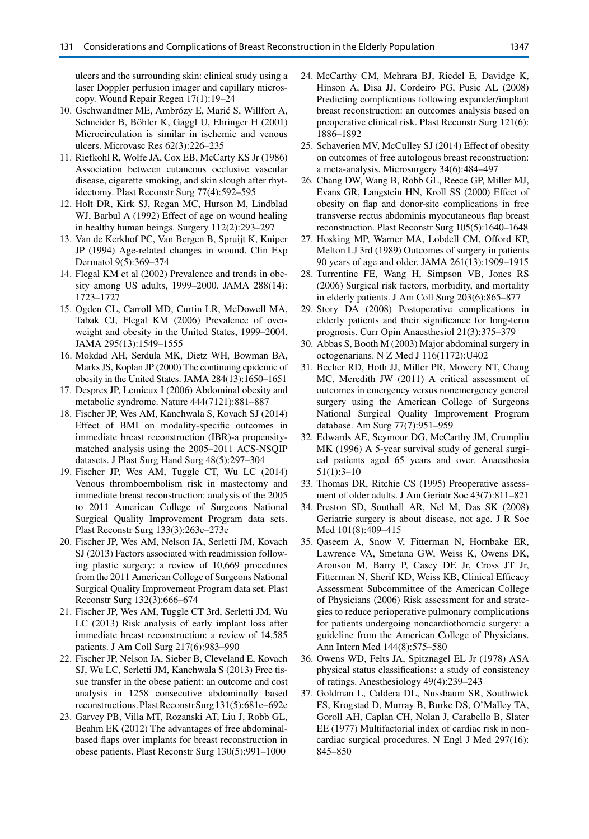<span id="page-16-0"></span>ulcers and the surrounding skin: clinical study using a laser Doppler perfusion imager and capillary microscopy. Wound Repair Regen 17(1):19–24

- 10. Gschwandtner ME, Ambrózy E, Marić S, Willfort A, Schneider B, Böhler K, Gaggl U, Ehringer H (2001) Microcirculation is similar in ischemic and venous ulcers. Microvasc Res 62(3):226–235
- 11. Riefkohl R, Wolfe JA, Cox EB, McCarty KS Jr (1986) Association between cutaneous occlusive vascular disease, cigarette smoking, and skin slough after rhytidectomy. Plast Reconstr Surg 77(4):592–595
- 12. Holt DR, Kirk SJ, Regan MC, Hurson M, Lindblad WJ, Barbul A (1992) Effect of age on wound healing in healthy human beings. Surgery 112(2):293–297
- 13. Van de Kerkhof PC, Van Bergen B, Spruijt K, Kuiper JP (1994) Age-related changes in wound. Clin Exp Dermatol 9(5):369–374
- 14. Flegal KM et al (2002) Prevalence and trends in obesity among US adults, 1999–2000. JAMA 288(14): 1723–1727
- 15. Ogden CL, Carroll MD, Curtin LR, McDowell MA, Tabak CJ, Flegal KM (2006) Prevalence of overweight and obesity in the United States, 1999–2004. JAMA 295(13):1549–1555
- 16. Mokdad AH, Serdula MK, Dietz WH, Bowman BA, Marks JS, Koplan JP (2000) The continuing epidemic of obesity in the United States. JAMA 284(13):1650–1651
- 17. Despres JP, Lemieux I (2006) Abdominal obesity and metabolic syndrome. Nature 444(7121):881–887
- 18. Fischer JP, Wes AM, Kanchwala S, Kovach SJ (2014) Effect of BMI on modality-specific outcomes in immediate breast reconstruction (IBR)-a propensitymatched analysis using the 2005–2011 ACS-NSQIP datasets. J Plast Surg Hand Surg 48(5):297–304
- 19. Fischer JP, Wes AM, Tuggle CT, Wu LC (2014) Venous thromboembolism risk in mastectomy and immediate breast reconstruction: analysis of the 2005 to 2011 American College of Surgeons National Surgical Quality Improvement Program data sets. Plast Reconstr Surg 133(3):263e–273e
- 20. Fischer JP, Wes AM, Nelson JA, Serletti JM, Kovach SJ (2013) Factors associated with readmission following plastic surgery: a review of 10,669 procedures from the 2011 American College of Surgeons National Surgical Quality Improvement Program data set. Plast Reconstr Surg 132(3):666–674
- 21. Fischer JP, Wes AM, Tuggle CT 3rd, Serletti JM, Wu LC (2013) Risk analysis of early implant loss after immediate breast reconstruction: a review of 14,585 patients. J Am Coll Surg 217(6):983–990
- 22. Fischer JP, Nelson JA, Sieber B, Cleveland E, Kovach SJ, Wu LC, Serletti JM, Kanchwala S (2013) Free tissue transfer in the obese patient: an outcome and cost analysis in 1258 consecutive abdominally based reconstructions. Plast Reconstr Surg 131(5):681e–692e
- 23. Garvey PB, Villa MT, Rozanski AT, Liu J, Robb GL, Beahm EK (2012) The advantages of free abdominalbased flaps over implants for breast reconstruction in obese patients. Plast Reconstr Surg 130(5):991–1000
- 24. McCarthy CM, Mehrara BJ, Riedel E, Davidge K, Hinson A, Disa JJ, Cordeiro PG, Pusic AL (2008) Predicting complications following expander/implant breast reconstruction: an outcomes analysis based on preoperative clinical risk. Plast Reconstr Surg 121(6): 1886–1892
- 25. Schaverien MV, McCulley SJ (2014) Effect of obesity on outcomes of free autologous breast reconstruction: a meta-analysis. Microsurgery 34(6):484–497
- 26. Chang DW, Wang B, Robb GL, Reece GP, Miller MJ, Evans GR, Langstein HN, Kroll SS (2000) Effect of obesity on flap and donor-site complications in free transverse rectus abdominis myocutaneous flap breast reconstruction. Plast Reconstr Surg 105(5):1640–1648
- 27. Hosking MP, Warner MA, Lobdell CM, Offord KP, Melton LJ 3rd (1989) Outcomes of surgery in patients 90 years of age and older. JAMA 261(13):1909–1915
- 28. Turrentine FE, Wang H, Simpson VB, Jones RS (2006) Surgical risk factors, morbidity, and mortality in elderly patients. J Am Coll Surg 203(6):865–877
- 29. Story DA (2008) Postoperative complications in elderly patients and their significance for long-term prognosis. Curr Opin Anaesthesiol 21(3):375–379
- 30. Abbas S, Booth M (2003) Major abdominal surgery in octogenarians. N Z Med J 116(1172):U402
- 31. Becher RD, Hoth JJ, Miller PR, Mowery NT, Chang MC, Meredith JW (2011) A critical assessment of outcomes in emergency versus nonemergency general surgery using the American College of Surgeons National Surgical Quality Improvement Program database. Am Surg 77(7):951–959
- 32. Edwards AE, Seymour DG, McCarthy JM, Crumplin MK (1996) A 5-year survival study of general surgical patients aged 65 years and over. Anaesthesia 51(1):3–10
- 33. Thomas DR, Ritchie CS (1995) Preoperative assessment of older adults. J Am Geriatr Soc 43(7):811–821
- 34. Preston SD, Southall AR, Nel M, Das SK (2008) Geriatric surgery is about disease, not age. J R Soc Med 101(8):409–415
- 35. Qaseem A, Snow V, Fitterman N, Hornbake ER, Lawrence VA, Smetana GW, Weiss K, Owens DK, Aronson M, Barry P, Casey DE Jr, Cross JT Jr, Fitterman N, Sherif KD, Weiss KB, Clinical Efficacy Assessment Subcommittee of the American College of Physicians (2006) Risk assessment for and strategies to reduce perioperative pulmonary complications for patients undergoing noncardiothoracic surgery: a guideline from the American College of Physicians. Ann Intern Med 144(8):575–580
- 36. Owens WD, Felts JA, Spitznagel EL Jr (1978) ASA physical status classifications: a study of consistency of ratings. Anesthesiology 49(4):239–243
- 37. Goldman L, Caldera DL, Nussbaum SR, Southwick FS, Krogstad D, Murray B, Burke DS, O'Malley TA, Goroll AH, Caplan CH, Nolan J, Carabello B, Slater EE (1977) Multifactorial index of cardiac risk in noncardiac surgical procedures. N Engl J Med 297(16): 845–850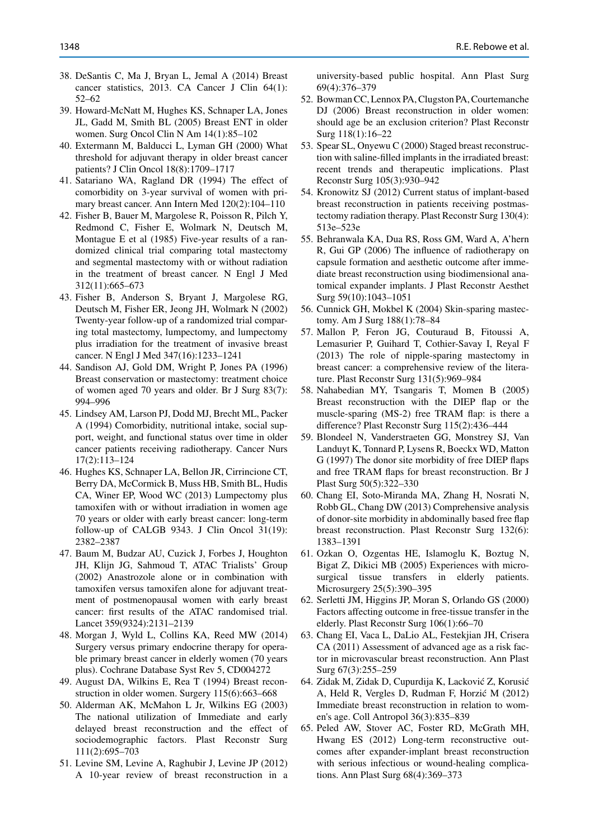- <span id="page-17-0"></span> 38. DeSantis C, Ma J, Bryan L, Jemal A (2014) Breast cancer statistics, 2013. CA Cancer J Clin 64(1): 52–62
- 39. Howard-McNatt M, Hughes KS, Schnaper LA, Jones JL, Gadd M, Smith BL (2005) Breast ENT in older women. Surg Oncol Clin N Am 14(1):85–102
- 40. Extermann M, Balducci L, Lyman GH (2000) What threshold for adjuvant therapy in older breast cancer patients? J Clin Oncol 18(8):1709–1717
- 41. Satariano WA, Ragland DR (1994) The effect of comorbidity on 3-year survival of women with primary breast cancer. Ann Intern Med 120(2):104–110
- 42. Fisher B, Bauer M, Margolese R, Poisson R, Pilch Y, Redmond C, Fisher E, Wolmark N, Deutsch M, Montague E et al (1985) Five-year results of a randomized clinical trial comparing total mastectomy and segmental mastectomy with or without radiation in the treatment of breast cancer. N Engl J Med 312(11):665–673
- 43. Fisher B, Anderson S, Bryant J, Margolese RG, Deutsch M, Fisher ER, Jeong JH, Wolmark N (2002) Twenty-year follow-up of a randomized trial comparing total mastectomy, lumpectomy, and lumpectomy plus irradiation for the treatment of invasive breast cancer. N Engl J Med 347(16):1233–1241
- 44. Sandison AJ, Gold DM, Wright P, Jones PA (1996) Breast conservation or mastectomy: treatment choice of women aged 70 years and older. Br J Surg 83(7): 994–996
- 45. Lindsey AM, Larson PJ, Dodd MJ, Brecht ML, Packer A (1994) Comorbidity, nutritional intake, social support, weight, and functional status over time in older cancer patients receiving radiotherapy. Cancer Nurs 17(2):113–124
- 46. Hughes KS, Schnaper LA, Bellon JR, Cirrincione CT, Berry DA, McCormick B, Muss HB, Smith BL, Hudis CA, Winer EP, Wood WC (2013) Lumpectomy plus tamoxifen with or without irradiation in women age 70 years or older with early breast cancer: long-term follow-up of CALGB 9343. J Clin Oncol 31(19): 2382–2387
- 47. Baum M, Budzar AU, Cuzick J, Forbes J, Houghton JH, Klijn JG, Sahmoud T, ATAC Trialists' Group (2002) Anastrozole alone or in combination with tamoxifen versus tamoxifen alone for adjuvant treatment of postmenopausal women with early breast cancer: first results of the ATAC randomised trial. Lancet 359(9324):2131–2139
- 48. Morgan J, Wyld L, Collins KA, Reed MW (2014) Surgery versus primary endocrine therapy for operable primary breast cancer in elderly women (70 years plus). Cochrane Database Syst Rev 5, CD004272
- 49. August DA, Wilkins E, Rea T (1994) Breast reconstruction in older women. Surgery 115(6):663–668
- 50. Alderman AK, McMahon L Jr, Wilkins EG (2003) The national utilization of Immediate and early delayed breast reconstruction and the effect of sociodemographic factors. Plast Reconstr Surg 111(2):695–703
- 51. Levine SM, Levine A, Raghubir J, Levine JP (2012) A 10-year review of breast reconstruction in a

university- based public hospital. Ann Plast Surg 69(4):376–379

- 52. Bowman CC, Lennox PA, Clugston PA, Courtemanche DJ (2006) Breast reconstruction in older women: should age be an exclusion criterion? Plast Reconstr Surg 118(1):16–22
- 53. Spear SL, Onyewu C (2000) Staged breast reconstruction with saline-filled implants in the irradiated breast: recent trends and therapeutic implications. Plast Reconstr Surg 105(3):930–942
- 54. Kronowitz SJ (2012) Current status of implant-based breast reconstruction in patients receiving postmastectomy radiation therapy. Plast Reconstr Surg 130(4): 513e–523e
- 55. Behranwala KA, Dua RS, Ross GM, Ward A, A'hern R, Gui GP (2006) The influence of radiotherapy on capsule formation and aesthetic outcome after immediate breast reconstruction using biodimensional anatomical expander implants. J Plast Reconstr Aesthet Surg 59(10):1043–1051
- 56. Cunnick GH, Mokbel K (2004) Skin-sparing mastectomy. Am J Surg 188(1):78–84
- 57. Mallon P, Feron JG, Couturaud B, Fitoussi A, Lemasurier P, Guihard T, Cothier-Savay I, Reyal F (2013) The role of nipple-sparing mastectomy in breast cancer: a comprehensive review of the literature. Plast Reconstr Surg 131(5):969–984
- 58. Nahabedian MY, Tsangaris T, Momen B (2005) Breast reconstruction with the DIEP flap or the muscle-sparing (MS-2) free TRAM flap: is there a difference? Plast Reconstr Surg 115(2):436–444
- 59. Blondeel N, Vanderstraeten GG, Monstrey SJ, Van Landuyt K, Tonnard P, Lysens R, Boeckx WD, Matton G (1997) The donor site morbidity of free DIEP flaps and free TRAM flaps for breast reconstruction. Br J Plast Surg 50(5):322–330
- 60. Chang EI, Soto-Miranda MA, Zhang H, Nosrati N, Robb GL, Chang DW (2013) Comprehensive analysis of donor-site morbidity in abdominally based free flap breast reconstruction. Plast Reconstr Surg 132(6): 1383–1391
- 61. Ozkan O, Ozgentas HE, Islamoglu K, Boztug N, Bigat Z, Dikici MB (2005) Experiences with microsurgical tissue transfers in elderly patients. Microsurgery 25(5):390–395
- 62. Serletti JM, Higgins JP, Moran S, Orlando GS (2000) Factors affecting outcome in free-tissue transfer in the elderly. Plast Reconstr Surg 106(1):66–70
- 63. Chang EI, Vaca L, DaLio AL, Festekjian JH, Crisera CA (2011) Assessment of advanced age as a risk factor in microvascular breast reconstruction. Ann Plast Surg 67(3):255–259
- 64. Zidak M, Zidak D, Cupurdija K, Lacković Z, Korusić A, Held R, Vergles D, Rudman F, Horzić M (2012) Immediate breast reconstruction in relation to women's age. Coll Antropol 36(3):835–839
- 65. Peled AW, Stover AC, Foster RD, McGrath MH, Hwang ES (2012) Long-term reconstructive outcomes after expander-implant breast reconstruction with serious infectious or wound-healing complications. Ann Plast Surg 68(4):369–373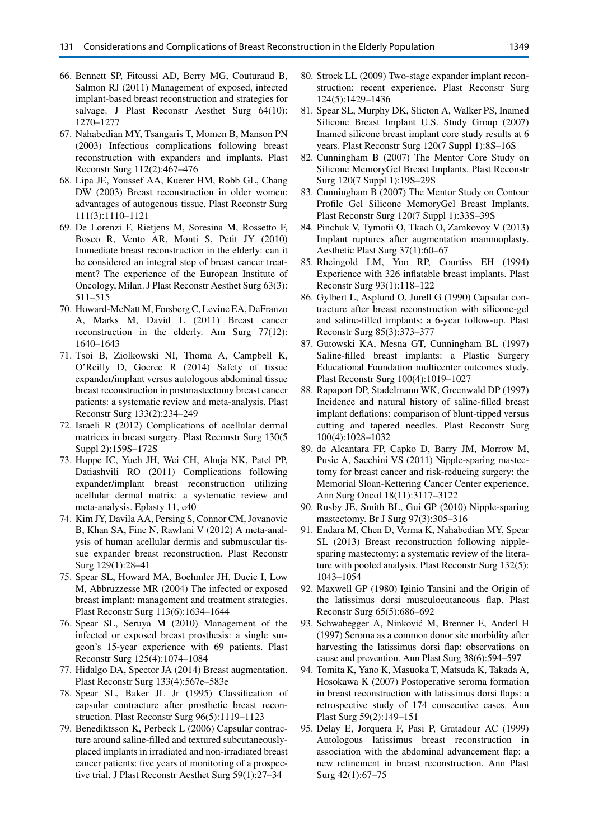- <span id="page-18-0"></span> 66. Bennett SP, Fitoussi AD, Berry MG, Couturaud B, Salmon RJ (2011) Management of exposed, infected implant-based breast reconstruction and strategies for salvage. J Plast Reconstr Aesthet Surg 64(10): 1270–1277
- 67. Nahabedian MY, Tsangaris T, Momen B, Manson PN (2003) Infectious complications following breast reconstruction with expanders and implants. Plast Reconstr Surg 112(2):467–476
- 68. Lipa JE, Youssef AA, Kuerer HM, Robb GL, Chang DW (2003) Breast reconstruction in older women: advantages of autogenous tissue. Plast Reconstr Surg 111(3):1110–1121
- 69. De Lorenzi F, Rietjens M, Soresina M, Rossetto F, Bosco R, Vento AR, Monti S, Petit JY (2010) Immediate breast reconstruction in the elderly: can it be considered an integral step of breast cancer treatment? The experience of the European Institute of Oncology, Milan. J Plast Reconstr Aesthet Surg 63(3): 511–515
- 70. Howard-McNatt M, Forsberg C, Levine EA, DeFranzo A, Marks M, David L (2011) Breast cancer reconstruction in the elderly. Am Surg 77(12): 1640–1643
- 71. Tsoi B, Ziolkowski NI, Thoma A, Campbell K, O'Reilly D, Goeree R (2014) Safety of tissue expander/implant versus autologous abdominal tissue breast reconstruction in postmastectomy breast cancer patients: a systematic review and meta-analysis. Plast Reconstr Surg 133(2):234–249
- 72. Israeli R (2012) Complications of acellular dermal matrices in breast surgery. Plast Reconstr Surg 130(5 Suppl 2):159S–172S
- 73. Hoppe IC, Yueh JH, Wei CH, Ahuja NK, Patel PP, Datiashvili RO (2011) Complications following expander/implant breast reconstruction utilizing acellular dermal matrix: a systematic review and meta-analysis. Eplasty 11, e40
- 74. Kim JY, Davila AA, Persing S, Connor CM, Jovanovic B, Khan SA, Fine N, Rawlani V (2012) A meta-analysis of human acellular dermis and submuscular tissue expander breast reconstruction. Plast Reconstr Surg 129(1):28–41
- 75. Spear SL, Howard MA, Boehmler JH, Ducic I, Low M, Abbruzzesse MR (2004) The infected or exposed breast implant: management and treatment strategies. Plast Reconstr Surg 113(6):1634–1644
- 76. Spear SL, Seruya M (2010) Management of the infected or exposed breast prosthesis: a single surgeon's 15-year experience with 69 patients. Plast Reconstr Surg 125(4):1074–1084
- 77. Hidalgo DA, Spector JA (2014) Breast augmentation. Plast Reconstr Surg 133(4):567e–583e
- 78. Spear SL, Baker JL Jr (1995) Classification of capsular contracture after prosthetic breast reconstruction. Plast Reconstr Surg 96(5):1119–1123
- 79. Benediktsson K, Perbeck L (2006) Capsular contracture around saline-filled and textured subcutaneouslyplaced implants in irradiated and non-irradiated breast cancer patients: five years of monitoring of a prospective trial. J Plast Reconstr Aesthet Surg 59(1):27–34
- 80. Strock LL (2009) Two-stage expander implant reconstruction: recent experience. Plast Reconstr Surg 124(5):1429–1436
- 81. Spear SL, Murphy DK, Slicton A, Walker PS, Inamed Silicone Breast Implant U.S. Study Group (2007) Inamed silicone breast implant core study results at 6 years. Plast Reconstr Surg 120(7 Suppl 1):8S–16S
- 82. Cunningham B (2007) The Mentor Core Study on Silicone MemoryGel Breast Implants. Plast Reconstr Surg 120(7 Suppl 1):19S–29S
- 83. Cunningham B (2007) The Mentor Study on Contour Profile Gel Silicone MemoryGel Breast Implants. Plast Reconstr Surg 120(7 Suppl 1):33S–39S
- 84. Pinchuk V, Tymofii O, Tkach O, Zamkovoy V (2013) Implant ruptures after augmentation mammoplasty. Aesthetic Plast Surg 37(1):60–67
- 85. Rheingold LM, Yoo RP, Courtiss EH (1994) Experience with 326 inflatable breast implants. Plast Reconstr Surg 93(1):118–122
- 86. Gylbert L, Asplund O, Jurell G (1990) Capsular contracture after breast reconstruction with silicone-gel and saline-filled implants: a 6-year follow-up. Plast Reconstr Surg 85(3):373–377
- 87. Gutowski KA, Mesna GT, Cunningham BL (1997) Saline-filled breast implants: a Plastic Surgery Educational Foundation multicenter outcomes study. Plast Reconstr Surg 100(4):1019–1027
- 88. Rapaport DP, Stadelmann WK, Greenwald DP (1997) Incidence and natural history of saline-filled breast implant deflations: comparison of blunt-tipped versus cutting and tapered needles. Plast Reconstr Surg 100(4):1028–1032
- 89. de Alcantara FP, Capko D, Barry JM, Morrow M, Pusic A, Sacchini VS (2011) Nipple-sparing mastectomy for breast cancer and risk-reducing surgery: the Memorial Sloan-Kettering Cancer Center experience. Ann Surg Oncol 18(11):3117–3122
- 90. Rusby JE, Smith BL, Gui GP (2010) Nipple-sparing mastectomy. Br J Surg 97(3):305–316
- 91. Endara M, Chen D, Verma K, Nahabedian MY, Spear SL (2013) Breast reconstruction following nipplesparing mastectomy: a systematic review of the literature with pooled analysis. Plast Reconstr Surg 132(5): 1043–1054
- 92. Maxwell GP (1980) Iginio Tansini and the Origin of the latissimus dorsi musculocutaneous flap. Plast Reconstr Surg 65(5):686–692
- 93. Schwabegger A, Ninković M, Brenner E, Anderl H (1997) Seroma as a common donor site morbidity after harvesting the latissimus dorsi flap: observations on cause and prevention. Ann Plast Surg 38(6):594–597
- 94. Tomita K, Yano K, Masuoka T, Matsuda K, Takada A, Hosokawa K (2007) Postoperative seroma formation in breast reconstruction with latissimus dorsi flaps: a retrospective study of 174 consecutive cases. Ann Plast Surg 59(2):149–151
- 95. Delay E, Jorquera F, Pasi P, Gratadour AC (1999) Autologous latissimus breast reconstruction in association with the abdominal advancement flap: a new refinement in breast reconstruction. Ann Plast Surg 42(1):67–75